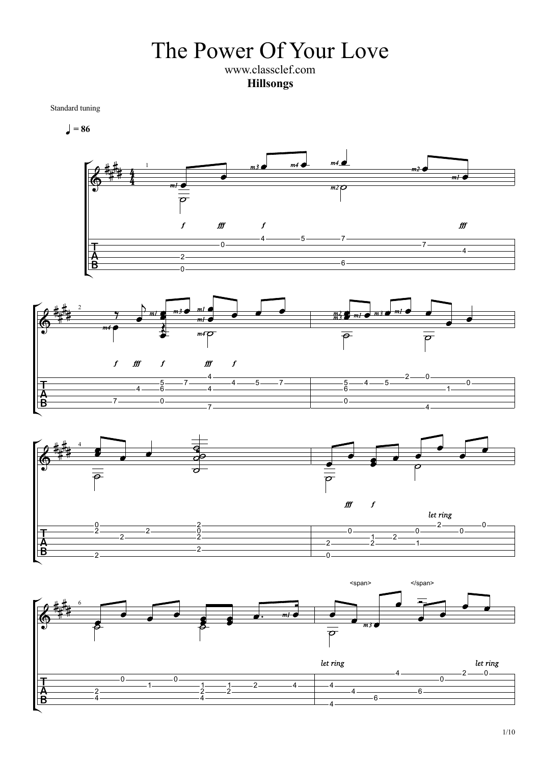The Power Of Your Love

www.classclef.com **Hillsongs**

Standard tuning

 $= 86$ 







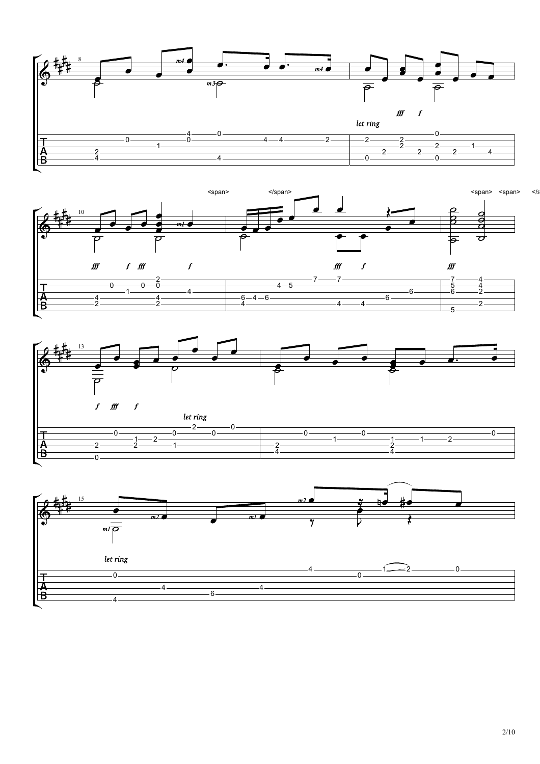





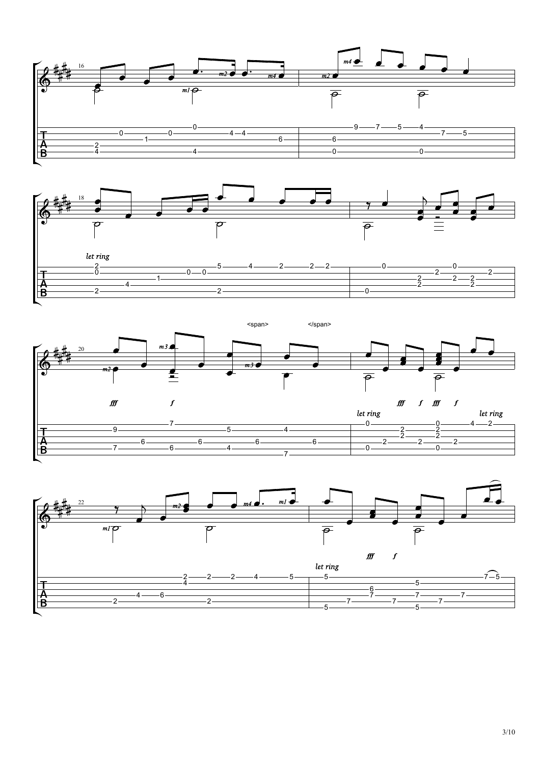





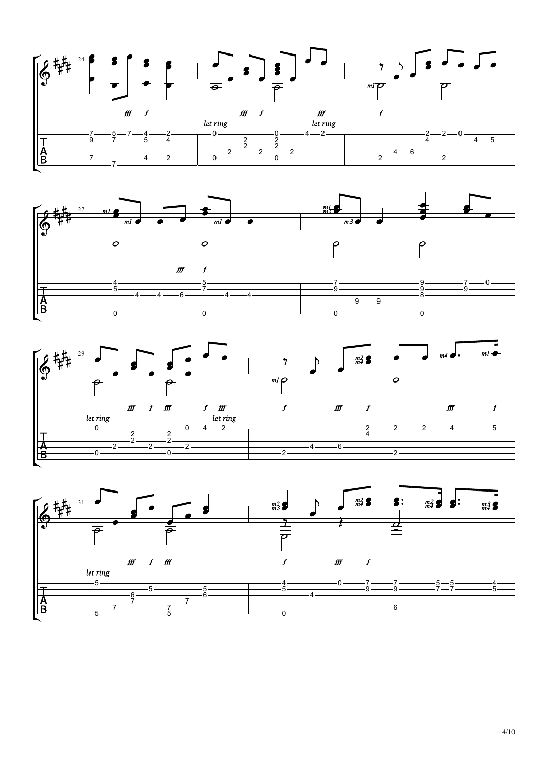





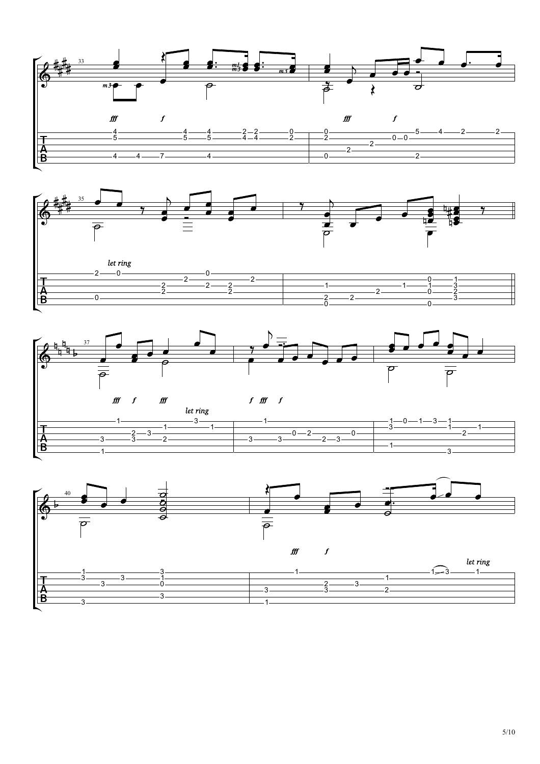





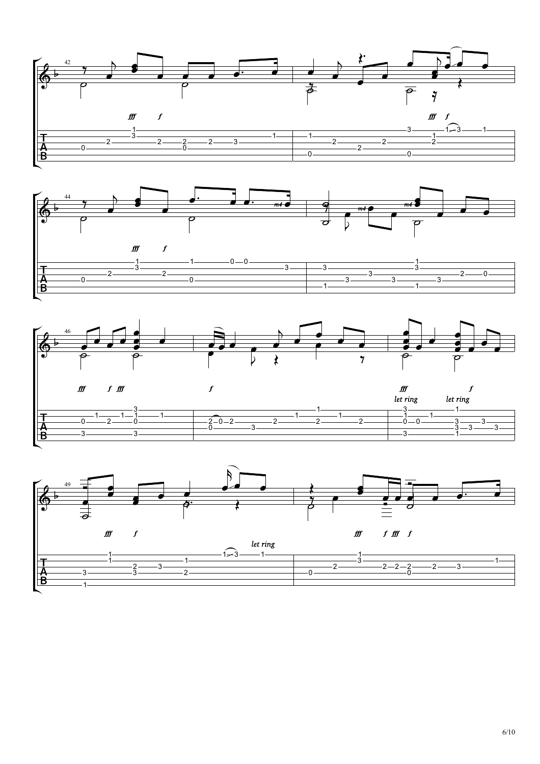





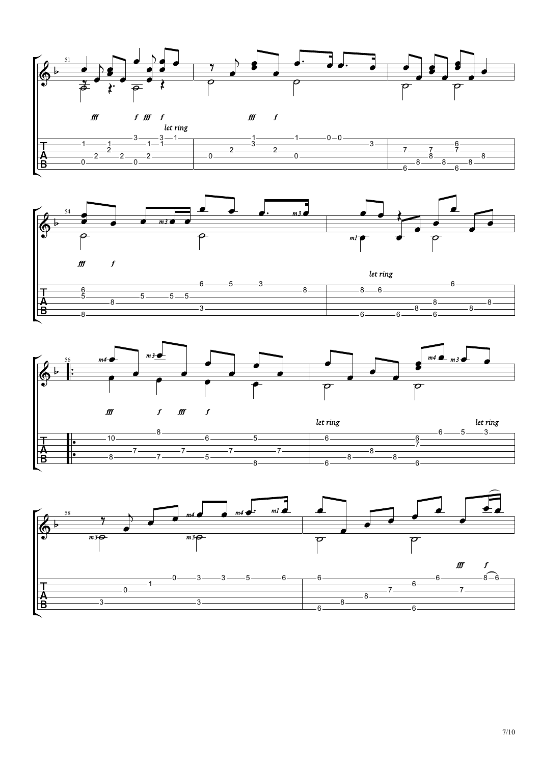





 $6 \frac{1}{2}$ 

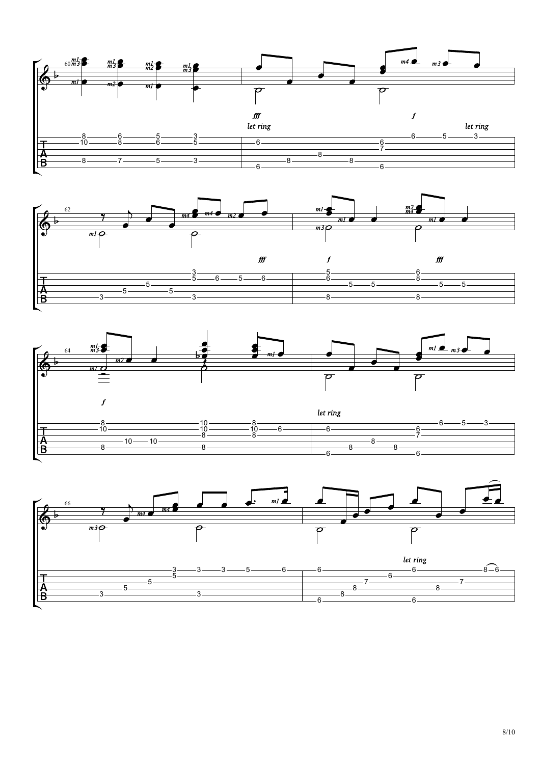





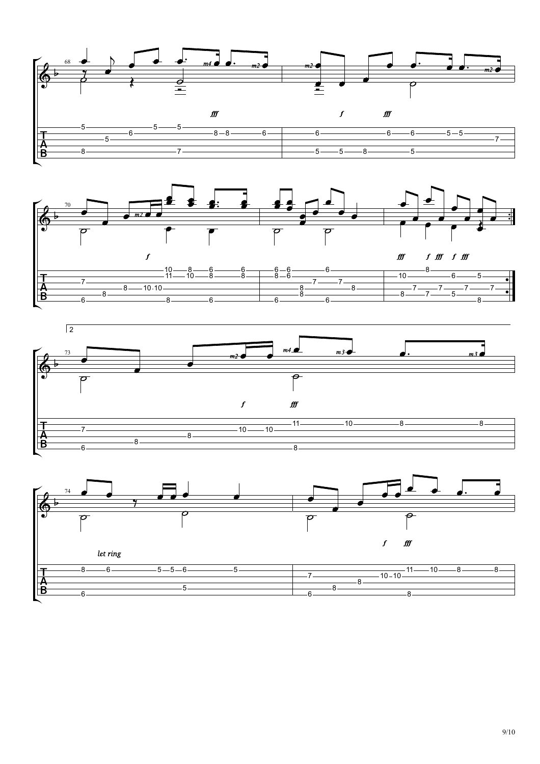